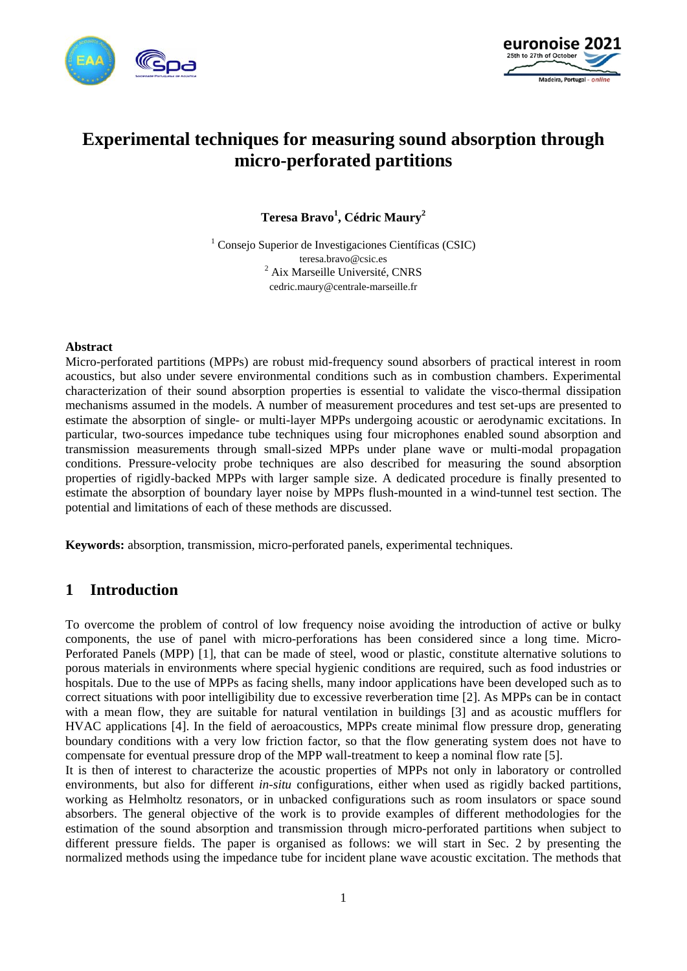



# **Experimental techniques for measuring sound absorption through micro-perforated partitions**

**Teresa Bravo<sup>1</sup> , Cédric Maury2**

1 Consejo Superior de Investigaciones Científicas (CSIC) teresa.bravo@csic.es 2 Aix Marseille Université, CNRS cedric.maury@centrale-marseille.fr

#### **Abstract**

Micro-perforated partitions (MPPs) are robust mid-frequency sound absorbers of practical interest in room acoustics, but also under severe environmental conditions such as in combustion chambers. Experimental characterization of their sound absorption properties is essential to validate the visco-thermal dissipation mechanisms assumed in the models. A number of measurement procedures and test set-ups are presented to estimate the absorption of single- or multi-layer MPPs undergoing acoustic or aerodynamic excitations. In particular, two-sources impedance tube techniques using four microphones enabled sound absorption and transmission measurements through small-sized MPPs under plane wave or multi-modal propagation conditions. Pressure-velocity probe techniques are also described for measuring the sound absorption properties of rigidly-backed MPPs with larger sample size. A dedicated procedure is finally presented to estimate the absorption of boundary layer noise by MPPs flush-mounted in a wind-tunnel test section. The potential and limitations of each of these methods are discussed.

**Keywords:** absorption, transmission, micro-perforated panels, experimental techniques.

## **1 Introduction**

To overcome the problem of control of low frequency noise avoiding the introduction of active or bulky components, the use of panel with micro-perforations has been considered since a long time. Micro-Perforated Panels (MPP) [1], that can be made of steel, wood or plastic, constitute alternative solutions to porous materials in environments where special hygienic conditions are required, such as food industries or hospitals. Due to the use of MPPs as facing shells, many indoor applications have been developed such as to correct situations with poor intelligibility due to excessive reverberation time [2]. As MPPs can be in contact with a mean flow, they are suitable for natural ventilation in buildings [3] and as acoustic mufflers for HVAC applications [4]. In the field of aeroacoustics, MPPs create minimal flow pressure drop, generating boundary conditions with a very low friction factor, so that the flow generating system does not have to compensate for eventual pressure drop of the MPP wall-treatment to keep a nominal flow rate [5].

It is then of interest to characterize the acoustic properties of MPPs not only in laboratory or controlled environments, but also for different *in-situ* configurations, either when used as rigidly backed partitions, working as Helmholtz resonators, or in unbacked configurations such as room insulators or space sound absorbers. The general objective of the work is to provide examples of different methodologies for the estimation of the sound absorption and transmission through micro-perforated partitions when subject to different pressure fields. The paper is organised as follows: we will start in Sec. 2 by presenting the normalized methods using the impedance tube for incident plane wave acoustic excitation. The methods that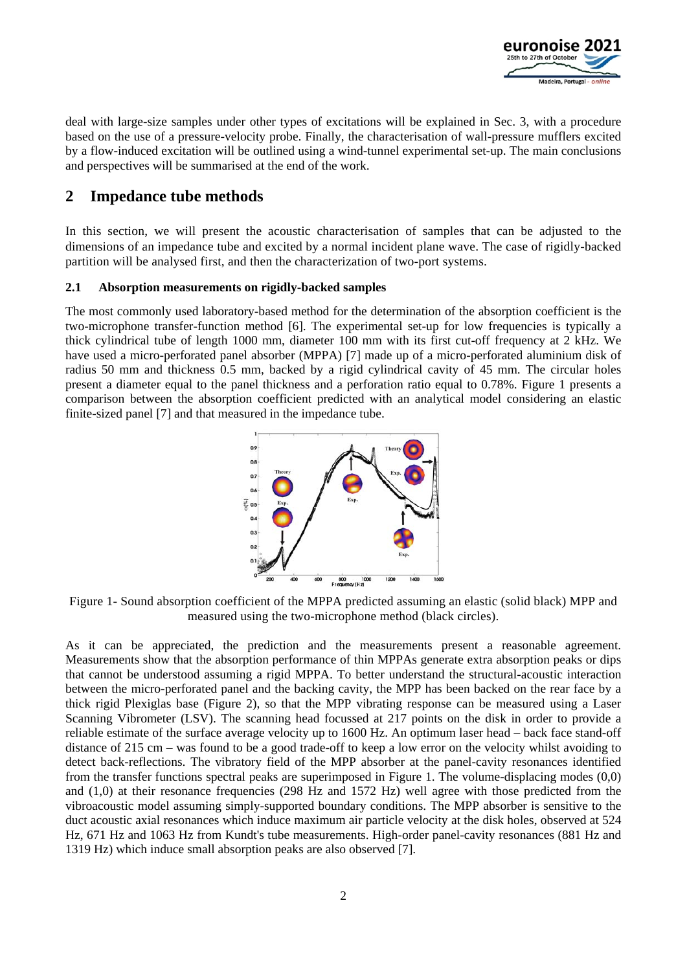

deal with large-size samples under other types of excitations will be explained in Sec. 3, with a procedure based on the use of a pressure-velocity probe. Finally, the characterisation of wall-pressure mufflers excited by a flow-induced excitation will be outlined using a wind-tunnel experimental set-up. The main conclusions and perspectives will be summarised at the end of the work.

# **2 Impedance tube methods**

In this section, we will present the acoustic characterisation of samples that can be adjusted to the dimensions of an impedance tube and excited by a normal incident plane wave. The case of rigidly-backed partition will be analysed first, and then the characterization of two-port systems.

#### **2.1 Absorption measurements on rigidly-backed samples**

The most commonly used laboratory-based method for the determination of the absorption coefficient is the two-microphone transfer-function method [6]. The experimental set-up for low frequencies is typically a thick cylindrical tube of length 1000 mm, diameter 100 mm with its first cut-off frequency at 2 kHz. We have used a micro-perforated panel absorber (MPPA) [7] made up of a micro-perforated aluminium disk of radius 50 mm and thickness 0.5 mm, backed by a rigid cylindrical cavity of 45 mm. The circular holes present a diameter equal to the panel thickness and a perforation ratio equal to 0.78%. Figure 1 presents a comparison between the absorption coefficient predicted with an analytical model considering an elastic finite-sized panel [7] and that measured in the impedance tube.



Figure 1- Sound absorption coefficient of the MPPA predicted assuming an elastic (solid black) MPP and measured using the two-microphone method (black circles).

As it can be appreciated, the prediction and the measurements present a reasonable agreement. Measurements show that the absorption performance of thin MPPAs generate extra absorption peaks or dips that cannot be understood assuming a rigid MPPA. To better understand the structural-acoustic interaction between the micro-perforated panel and the backing cavity, the MPP has been backed on the rear face by a thick rigid Plexiglas base (Figure 2), so that the MPP vibrating response can be measured using a Laser Scanning Vibrometer (LSV). The scanning head focussed at 217 points on the disk in order to provide a reliable estimate of the surface average velocity up to 1600 Hz. An optimum laser head – back face stand-off distance of 215 cm – was found to be a good trade-off to keep a low error on the velocity whilst avoiding to detect back-reflections. The vibratory field of the MPP absorber at the panel-cavity resonances identified from the transfer functions spectral peaks are superimposed in Figure 1. The volume-displacing modes (0,0) and (1,0) at their resonance frequencies (298 Hz and 1572 Hz) well agree with those predicted from the vibroacoustic model assuming simply-supported boundary conditions. The MPP absorber is sensitive to the duct acoustic axial resonances which induce maximum air particle velocity at the disk holes, observed at 524 Hz, 671 Hz and 1063 Hz from Kundt's tube measurements. High-order panel-cavity resonances (881 Hz and 1319 Hz) which induce small absorption peaks are also observed [7].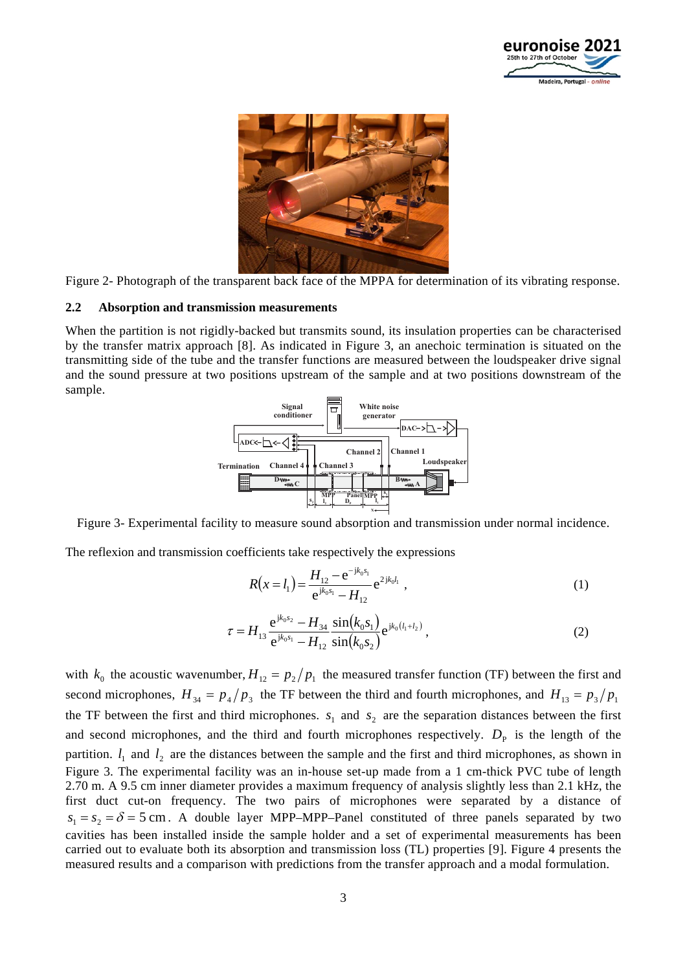



Figure 2- Photograph of the transparent back face of the MPPA for determination of its vibrating response.

#### **2.2 Absorption and transmission measurements**

When the partition is not rigidly-backed but transmits sound, its insulation properties can be characterised by the transfer matrix approach [8]. As indicated in Figure 3, an anechoic termination is situated on the transmitting side of the tube and the transfer functions are measured between the loudspeaker drive signal and the sound pressure at two positions upstream of the sample and at two positions downstream of the sample.



Figure 3- Experimental facility to measure sound absorption and transmission under normal incidence.

The reflexion and transmission coefficients take respectively the expressions

$$
R(x=l_1) = \frac{H_{12} - e^{-jk_0s_1}}{e^{jk_0s_1} - H_{12}} e^{2jk_0l_1} , \qquad (1)
$$

$$
\tau = H_{13} \frac{e^{jk_0 s_2} - H_{34}}{e^{jk_0 s_1} - H_{12}} \frac{\sin(k_0 s_1)}{\sin(k_0 s_2)} e^{jk_0 (l_1 + l_2)}, \qquad (2)
$$

with  $k_0$  the acoustic wavenumber,  $H_{12} = p_2 / p_1$  the measured transfer function (TF) between the first and second microphones,  $H_{34} = p_4/p_3$  the TF between the third and fourth microphones, and  $H_{13} = p_3/p_1$ the TF between the first and third microphones.  $s_1$  and  $s_2$  are the separation distances between the first and second microphones, and the third and fourth microphones respectively.  $D<sub>P</sub>$  is the length of the partition.  $l_1$  and  $l_2$  are the distances between the sample and the first and third microphones, as shown in Figure 3. The experimental facility was an in-house set-up made from a 1 cm-thick PVC tube of length 2.70 m. A 9.5 cm inner diameter provides a maximum frequency of analysis slightly less than 2.1 kHz, the first duct cut-on frequency. The two pairs of microphones were separated by a distance of  $s_1 = s_2 = \delta = 5$  cm. A double layer MPP–MPP–Panel constituted of three panels separated by two cavities has been installed inside the sample holder and a set of experimental measurements has been carried out to evaluate both its absorption and transmission loss (TL) properties [9]. Figure 4 presents the measured results and a comparison with predictions from the transfer approach and a modal formulation.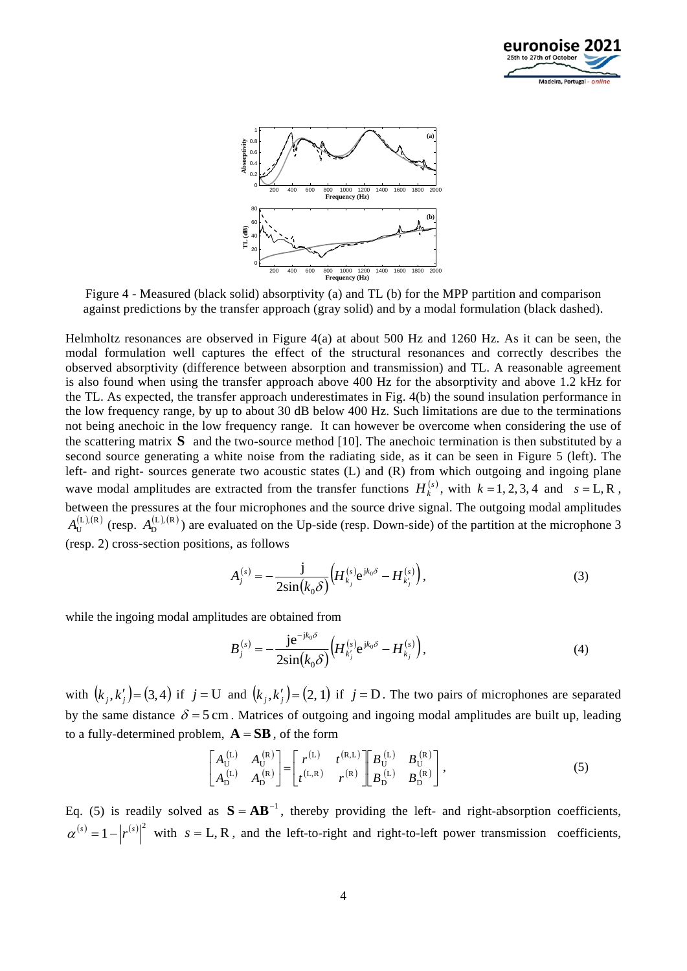



Figure 4 - Measured (black solid) absorptivity (a) and TL (b) for the MPP partition and comparison against predictions by the transfer approach (gray solid) and by a modal formulation (black dashed).

Helmholtz resonances are observed in Figure 4(a) at about 500 Hz and 1260 Hz. As it can be seen, the modal formulation well captures the effect of the structural resonances and correctly describes the observed absorptivity (difference between absorption and transmission) and TL. A reasonable agreement is also found when using the transfer approach above 400 Hz for the absorptivity and above 1.2 kHz for the TL. As expected, the transfer approach underestimates in Fig. 4(b) the sound insulation performance in the low frequency range, by up to about 30 dB below 400 Hz. Such limitations are due to the terminations not being anechoic in the low frequency range. It can however be overcome when considering the use of the scattering matrix **S** and the two-source method [10]. The anechoic termination is then substituted by a second source generating a white noise from the radiating side, as it can be seen in Figure 5 (left). The left- and right- sources generate two acoustic states (L) and (R) from which outgoing and ingoing plane wave modal amplitudes are extracted from the transfer functions  $H_k^{(s)}$ , with  $k = 1, 2, 3, 4$  and  $s = L, R$ , between the pressures at the four microphones and the source drive signal. The outgoing modal amplitudes  $A_{\text{H}}^{(L),(R)}$  (resp.  $A_{\text{D}}^{(L),(R)}$ ) are evaluated on the Up-side (resp. Down-side) of the partition at the microphone 3 (resp. 2) cross-section positions, as follows

$$
A_j^{(s)} = -\frac{j}{2\sin(k_0\delta)} \Big( H_{k_j}^{(s)} e^{jk_0\delta} - H_{k_j}^{(s)} \Big), \tag{3}
$$

while the ingoing modal amplitudes are obtained from

$$
B_j^{(s)} = -\frac{j e^{-jk_0 \delta}}{2\sin(k_0 \delta)} \Big( H_{k'_j}^{(s)} e^{jk_0 \delta} - H_{k_j}^{(s)} \Big), \tag{4}
$$

with  $(k_j, k'_j) = (3, 4)$  if  $j = U$  and  $(k_j, k'_j) = (2, 1)$  if  $j = D$ . The two pairs of microphones are separated by the same distance  $\delta = 5$  cm. Matrices of outgoing and ingoing modal amplitudes are built up, leading to a fully-determined problem,  $\mathbf{A} = \mathbf{S}\mathbf{B}$ , of the form

$$
\begin{bmatrix} A_{\text{U}}^{(\text{L})} & A_{\text{U}}^{(\text{R})} \\ A_{\text{D}}^{(\text{L})} & A_{\text{D}}^{(\text{R})} \end{bmatrix} = \begin{bmatrix} r^{(\text{L})} & t^{(\text{R},\text{L})} \\ t^{(\text{L},\text{R})} & r^{(\text{R})} \end{bmatrix} \begin{bmatrix} B_{\text{U}}^{(\text{L})} & B_{\text{U}}^{(\text{R})} \\ B_{\text{D}}^{(\text{L})} & B_{\text{D}}^{(\text{R})} \end{bmatrix},
$$
(5)

Eq. (5) is readily solved as  $S = AB^{-1}$ , thereby providing the left- and right-absorption coefficients,  $\alpha^{(s)} = 1 - |r^{(s)}|^2$  with  $s = L, R$ , and the left-to-right and right-to-left power transmission coefficients,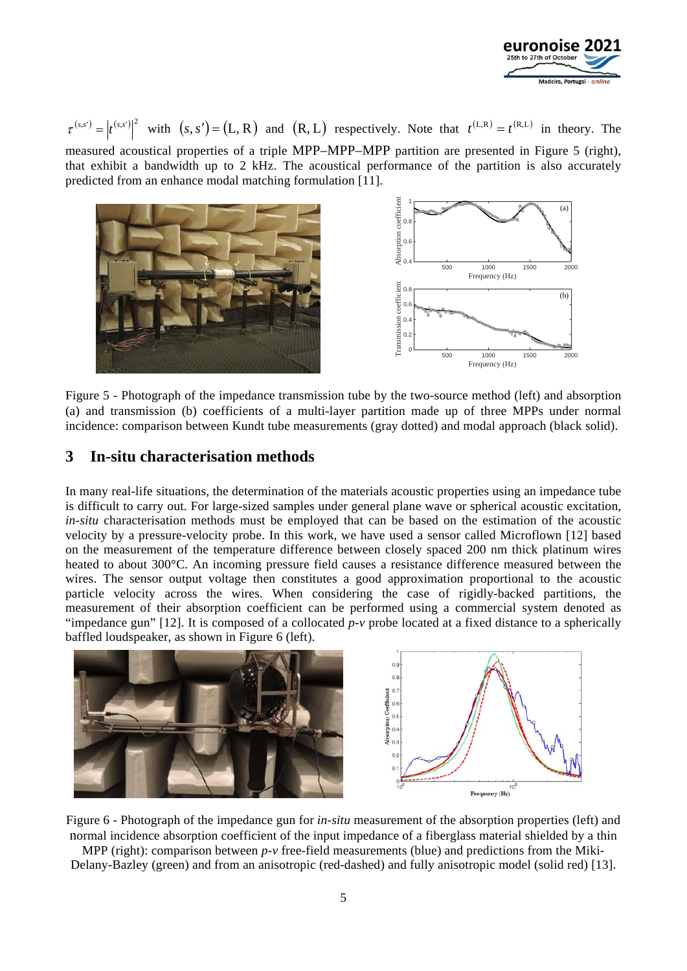

 $\tau^{(s,s')} = |t^{(s,s')}|^2$  with  $(s,s') = (L,R)$  and  $(R,L)$  respectively. Note that  $t^{(L,R)} = t^{(R,L)}$  in theory. The measured acoustical properties of a triple MPP–MPP–MPP partition are presented in Figure 5 (right), that exhibit a bandwidth up to 2 kHz. The acoustical performance of the partition is also accurately predicted from an enhance modal matching formulation [11].



Figure 5 - Photograph of the impedance transmission tube by the two-source method (left) and absorption (a) and transmission (b) coefficients of a multi-layer partition made up of three MPPs under normal incidence: comparison between Kundt tube measurements (gray dotted) and modal approach (black solid).

### **3 In-situ characterisation methods**

In many real-life situations, the determination of the materials acoustic properties using an impedance tube is difficult to carry out. For large-sized samples under general plane wave or spherical acoustic excitation, *in-situ* characterisation methods must be employed that can be based on the estimation of the acoustic velocity by a pressure-velocity probe. In this work, we have used a sensor called Microflown [12] based on the measurement of the temperature difference between closely spaced 200 nm thick platinum wires heated to about 300°C. An incoming pressure field causes a resistance difference measured between the wires. The sensor output voltage then constitutes a good approximation proportional to the acoustic particle velocity across the wires. When considering the case of rigidly-backed partitions, the measurement of their absorption coefficient can be performed using a commercial system denoted as "impedance gun" [12]. It is composed of a collocated *p-v* probe located at a fixed distance to a spherically baffled loudspeaker, as shown in Figure 6 (left).



Figure 6 - Photograph of the impedance gun for *in-situ* measurement of the absorption properties (left) and normal incidence absorption coefficient of the input impedance of a fiberglass material shielded by a thin

MPP (right): comparison between *p-v* free-field measurements (blue) and predictions from the Miki-Delany-Bazley (green) and from an anisotropic (red-dashed) and fully anisotropic model (solid red) [13].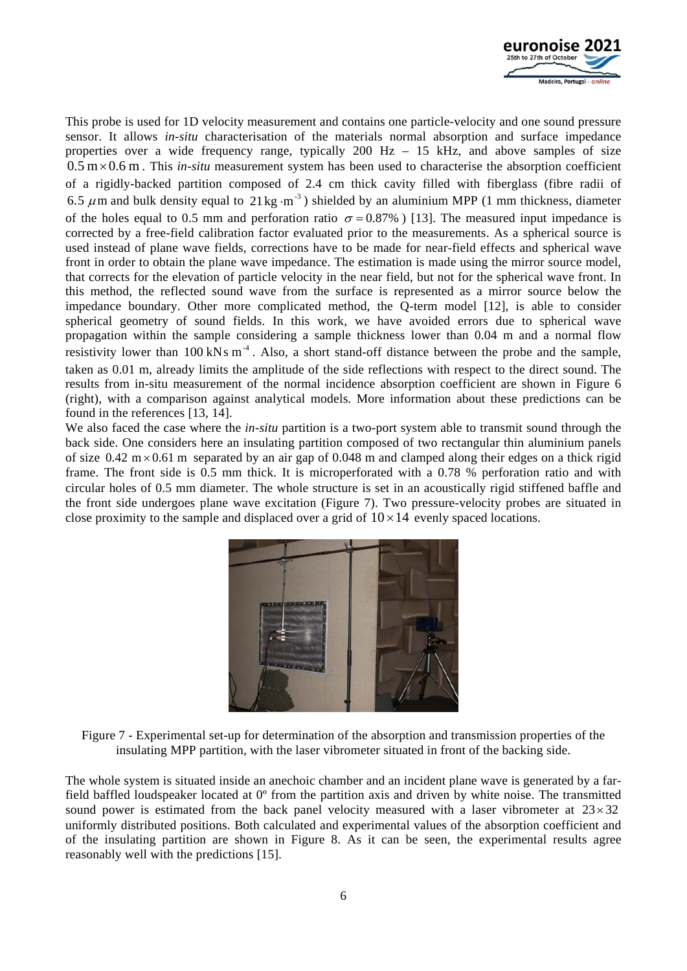

This probe is used for 1D velocity measurement and contains one particle-velocity and one sound pressure sensor. It allows *in-situ* characterisation of the materials normal absorption and surface impedance properties over a wide frequency range, typically  $200$  Hz  $- 15$  kHz, and above samples of size  $0.5 \text{ m} \times 0.6 \text{ m}$ . This *in-situ* measurement system has been used to characterise the absorption coefficient of a rigidly-backed partition composed of 2.4 cm thick cavity filled with fiberglass (fibre radii of 6.5  $\mu$ m and bulk density equal to 21 kg·m<sup>-3</sup>) shielded by an aluminium MPP (1 mm thickness, diameter of the holes equal to 0.5 mm and perforation ratio  $\sigma = 0.87\%$  ) [13]. The measured input impedance is corrected by a free-field calibration factor evaluated prior to the measurements. As a spherical source is used instead of plane wave fields, corrections have to be made for near-field effects and spherical wave front in order to obtain the plane wave impedance. The estimation is made using the mirror source model, that corrects for the elevation of particle velocity in the near field, but not for the spherical wave front. In this method, the reflected sound wave from the surface is represented as a mirror source below the impedance boundary. Other more complicated method, the Q-term model [12], is able to consider spherical geometry of sound fields. In this work, we have avoided errors due to spherical wave propagation within the sample considering a sample thickness lower than 0.04 m and a normal flow resistivity lower than  $100 \text{ kNs m}^4$ . Also, a short stand-off distance between the probe and the sample, taken as 0.01 m, already limits the amplitude of the side reflections with respect to the direct sound. The results from in-situ measurement of the normal incidence absorption coefficient are shown in Figure 6 (right), with a comparison against analytical models. More information about these predictions can be found in the references [13, 14].

We also faced the case where the *in-situ* partition is a two-port system able to transmit sound through the back side. One considers here an insulating partition composed of two rectangular thin aluminium panels of size  $0.42 \text{ m} \times 0.61 \text{ m}$  separated by an air gap of 0.048 m and clamped along their edges on a thick rigid frame. The front side is 0.5 mm thick. It is microperforated with a 0.78 % perforation ratio and with circular holes of 0.5 mm diameter. The whole structure is set in an acoustically rigid stiffened baffle and the front side undergoes plane wave excitation (Figure 7). Two pressure-velocity probes are situated in close proximity to the sample and displaced over a grid of  $10 \times 14$  evenly spaced locations.





The whole system is situated inside an anechoic chamber and an incident plane wave is generated by a farfield baffled loudspeaker located at  $0^{\circ}$  from the partition axis and driven by white noise. The transmitted sound power is estimated from the back panel velocity measured with a laser vibrometer at  $23 \times 32$ uniformly distributed positions. Both calculated and experimental values of the absorption coefficient and of the insulating partition are shown in Figure 8. As it can be seen, the experimental results agree reasonably well with the predictions [15].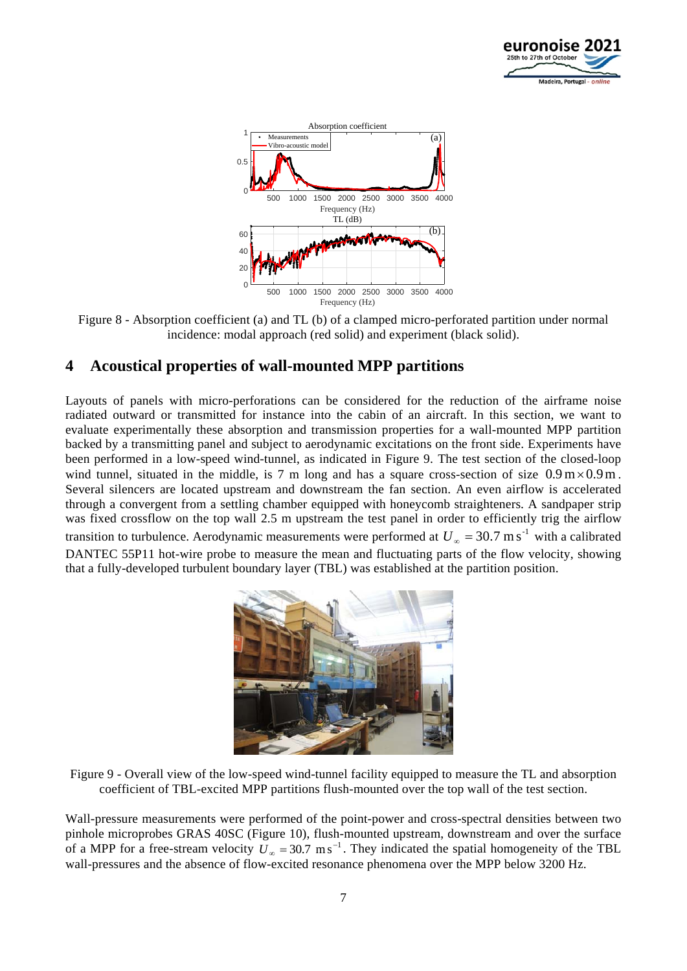



Figure 8 - Absorption coefficient (a) and TL (b) of a clamped micro-perforated partition under normal incidence: modal approach (red solid) and experiment (black solid).

## **4 Acoustical properties of wall-mounted MPP partitions**

Layouts of panels with micro-perforations can be considered for the reduction of the airframe noise radiated outward or transmitted for instance into the cabin of an aircraft. In this section, we want to evaluate experimentally these absorption and transmission properties for a wall-mounted MPP partition backed by a transmitting panel and subject to aerodynamic excitations on the front side. Experiments have been performed in a low-speed wind-tunnel, as indicated in Figure 9. The test section of the closed-loop wind tunnel, situated in the middle, is 7 m long and has a square cross-section of size  $0.9 \text{ m} \times 0.9 \text{ m}$ . Several silencers are located upstream and downstream the fan section. An even airflow is accelerated through a convergent from a settling chamber equipped with honeycomb straighteners. A sandpaper strip was fixed crossflow on the top wall 2.5 m upstream the test panel in order to efficiently trig the airflow transition to turbulence. Aerodynamic measurements were performed at  $U_{\infty} = 30.7 \text{ m s}^{-1}$  with a calibrated DANTEC 55P11 hot-wire probe to measure the mean and fluctuating parts of the flow velocity, showing that a fully-developed turbulent boundary layer (TBL) was established at the partition position.



Figure 9 - Overall view of the low-speed wind-tunnel facility equipped to measure the TL and absorption coefficient of TBL-excited MPP partitions flush-mounted over the top wall of the test section.

Wall-pressure measurements were performed of the point-power and cross-spectral densities between two pinhole microprobes GRAS 40SC (Figure 10), flush-mounted upstream, downstream and over the surface of a MPP for a free-stream velocity  $U_{\infty} = 30.7 \text{ m s}^{-1}$ . They indicated the spatial homogeneity of the TBL wall-pressures and the absence of flow-excited resonance phenomena over the MPP below 3200 Hz.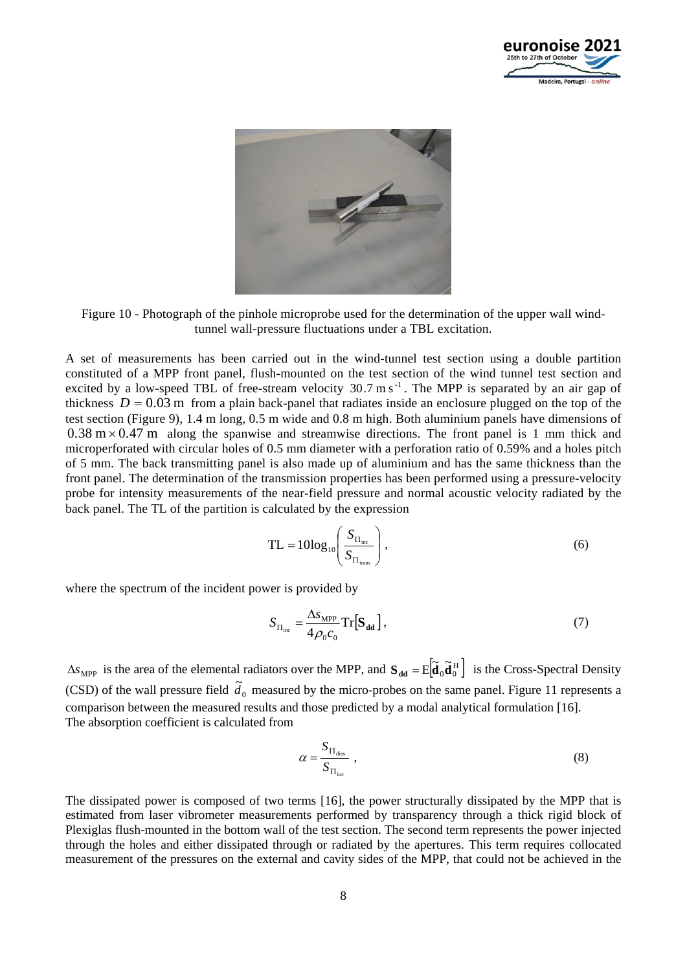



Figure 10 - Photograph of the pinhole microprobe used for the determination of the upper wall windtunnel wall-pressure fluctuations under a TBL excitation.

A set of measurements has been carried out in the wind-tunnel test section using a double partition constituted of a MPP front panel, flush-mounted on the test section of the wind tunnel test section and excited by a low-speed TBL of free-stream velocity  $30.7 \text{ m s}^{-1}$ . The MPP is separated by an air gap of thickness  $D = 0.03$  m from a plain back-panel that radiates inside an enclosure plugged on the top of the test section (Figure 9), 1.4 m long, 0.5 m wide and 0.8 m high. Both aluminium panels have dimensions of  $0.38 \text{ m} \times 0.47 \text{ m}$  along the spanwise and streamwise directions. The front panel is 1 mm thick and microperforated with circular holes of 0.5 mm diameter with a perforation ratio of 0.59% and a holes pitch of 5 mm. The back transmitting panel is also made up of aluminium and has the same thickness than the front panel. The determination of the transmission properties has been performed using a pressure-velocity probe for intensity measurements of the near-field pressure and normal acoustic velocity radiated by the back panel. The TL of the partition is calculated by the expression

$$
TL = 10\log_{10}\left(\frac{S_{\Pi_{\text{inc}}}}{S_{\Pi_{\text{trans}}}}\right),\tag{6}
$$

where the spectrum of the incident power is provided by

$$
S_{\Pi_{\text{inc}}} = \frac{\Delta s_{\text{MPP}}}{4\rho_0 c_0} \text{Tr}[\mathbf{S}_{\text{dd}}],
$$
\n(7)

 $\Delta s_{\text{MPP}}$  is the area of the elemental radiators over the MPP, and  $\mathbf{S}_{\text{dd}} = E \Big[ \tilde{\mathbf{d}}_0 \tilde{\mathbf{d}}_0^H \Big]$  is the Cross-Spectral Density (CSD) of the wall pressure field  $\tilde{d}_0$  measured by the micro-probes on the same panel. Figure 11 represents a comparison between the measured results and those predicted by a modal analytical formulation [16]. The absorption coefficient is calculated from

$$
\alpha = \frac{S_{\Pi_{\text{diss}}}}{S_{\Pi_{\text{inc}}}} \,, \tag{8}
$$

The dissipated power is composed of two terms [16], the power structurally dissipated by the MPP that is estimated from laser vibrometer measurements performed by transparency through a thick rigid block of Plexiglas flush-mounted in the bottom wall of the test section. The second term represents the power injected through the holes and either dissipated through or radiated by the apertures. This term requires collocated measurement of the pressures on the external and cavity sides of the MPP, that could not be achieved in the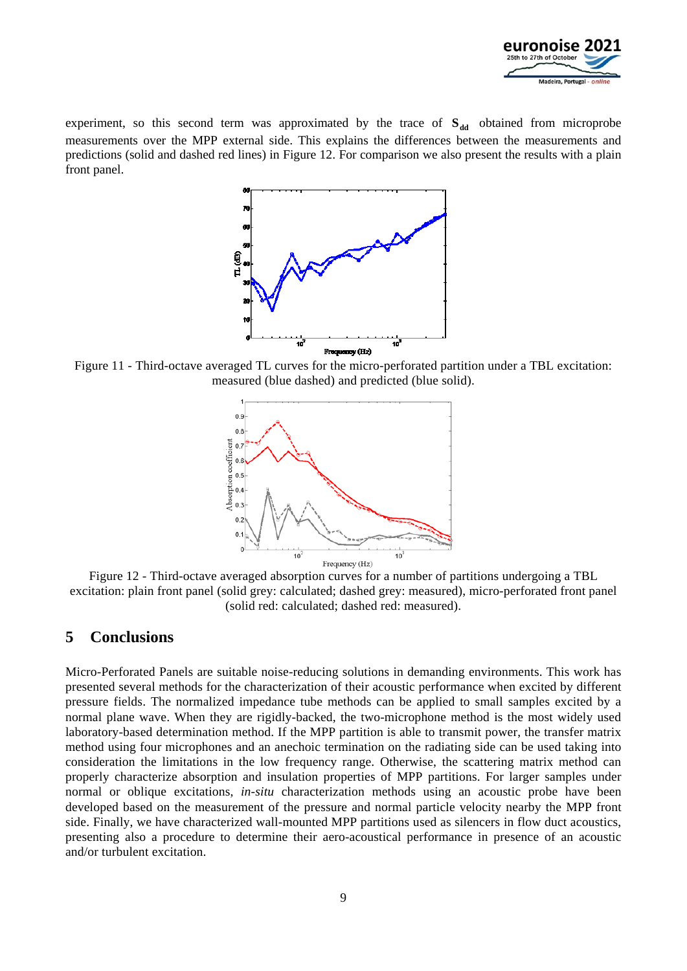

experiment, so this second term was approximated by the trace of  $S_{dd}$  obtained from microprobe measurements over the MPP external side. This explains the differences between the measurements and predictions (solid and dashed red lines) in Figure 12. For comparison we also present the results with a plain front panel.



Figure 11 - Third-octave averaged TL curves for the micro-perforated partition under a TBL excitation: measured (blue dashed) and predicted (blue solid).



Figure 12 - Third-octave averaged absorption curves for a number of partitions undergoing a TBL excitation: plain front panel (solid grey: calculated; dashed grey: measured), micro-perforated front panel (solid red: calculated; dashed red: measured).

#### **5 Conclusions**

Micro-Perforated Panels are suitable noise-reducing solutions in demanding environments. This work has presented several methods for the characterization of their acoustic performance when excited by different pressure fields. The normalized impedance tube methods can be applied to small samples excited by a normal plane wave. When they are rigidly-backed, the two-microphone method is the most widely used laboratory-based determination method. If the MPP partition is able to transmit power, the transfer matrix method using four microphones and an anechoic termination on the radiating side can be used taking into consideration the limitations in the low frequency range. Otherwise, the scattering matrix method can properly characterize absorption and insulation properties of MPP partitions. For larger samples under normal or oblique excitations, *in-situ* characterization methods using an acoustic probe have been developed based on the measurement of the pressure and normal particle velocity nearby the MPP front side. Finally, we have characterized wall-mounted MPP partitions used as silencers in flow duct acoustics, presenting also a procedure to determine their aero-acoustical performance in presence of an acoustic and/or turbulent excitation.